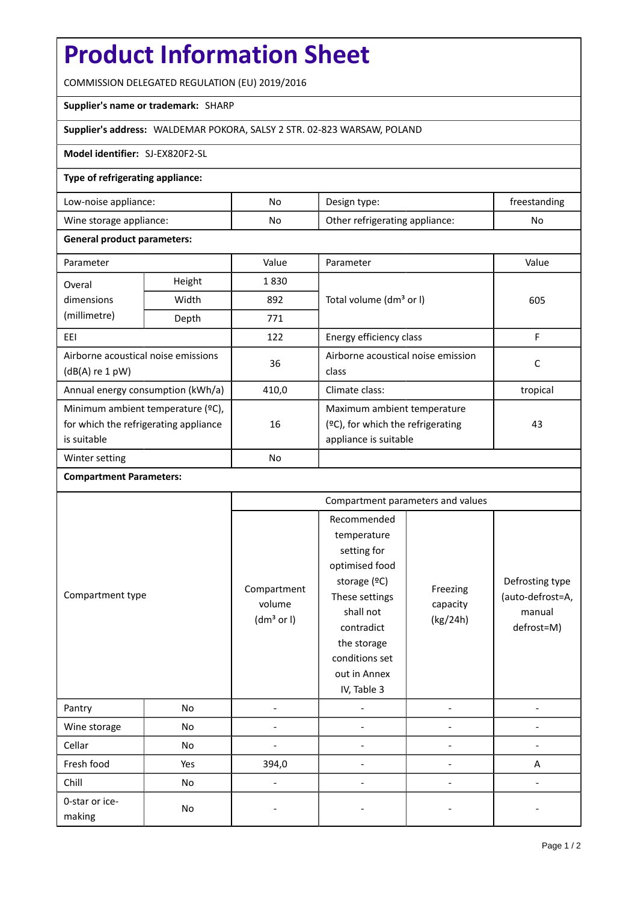# **Product Information Sheet**

COMMISSION DELEGATED REGULATION (EU) 2019/2016

# **Supplier's name or trademark:** SHARP

# **Supplier's address:** WALDEMAR POKORA, SALSY 2 STR. 02-823 WARSAW, POLAND

#### **Model identifier:** SJ-EX820F2-SL

## **Type of refrigerating appliance:**

| Low-noise appliance:    | No. | Design type:                   | treestanding |
|-------------------------|-----|--------------------------------|--------------|
| Wine storage appliance: | No  | Other refrigerating appliance: | No           |

#### **General product parameters:**

| Parameter                             |                | Value     | Parameter                            | Value    |  |
|---------------------------------------|----------------|-----------|--------------------------------------|----------|--|
| Overal                                | Height<br>1830 |           |                                      |          |  |
| dimensions                            | Width          | 892       | Total volume (dm <sup>3</sup> or I)  | 605      |  |
| (millimetre)                          | Depth          | 771       |                                      |          |  |
| EEI                                   |                | 122       | Energy efficiency class              | F        |  |
| Airborne acoustical noise emissions   |                | 36        | Airborne acoustical noise emission   | C        |  |
| $(dB(A)$ re 1 pW)                     |                |           | class                                |          |  |
| Annual energy consumption (kWh/a)     |                | 410,0     | Climate class:                       | tropical |  |
| Minimum ambient temperature (°C),     |                |           | Maximum ambient temperature          |          |  |
| for which the refrigerating appliance |                | 16        | $(°C)$ , for which the refrigerating | 43       |  |
| is suitable                           |                |           | appliance is suitable                |          |  |
| Winter setting                        |                | <b>No</b> |                                      |          |  |

## **Compartment Parameters:**

|                          |     | Compartment parameters and values               |                                                                                                                                                                                          |                                  |                                                             |
|--------------------------|-----|-------------------------------------------------|------------------------------------------------------------------------------------------------------------------------------------------------------------------------------------------|----------------------------------|-------------------------------------------------------------|
| Compartment type         |     | Compartment<br>volume<br>(dm <sup>3</sup> or I) | Recommended<br>temperature<br>setting for<br>optimised food<br>storage (°C)<br>These settings<br>shall not<br>contradict<br>the storage<br>conditions set<br>out in Annex<br>IV, Table 3 | Freezing<br>capacity<br>(kg/24h) | Defrosting type<br>(auto-defrost=A,<br>manual<br>defrost=M) |
| Pantry                   | No  |                                                 |                                                                                                                                                                                          |                                  |                                                             |
| Wine storage             | No  |                                                 |                                                                                                                                                                                          |                                  |                                                             |
| Cellar                   | No  |                                                 |                                                                                                                                                                                          |                                  |                                                             |
| Fresh food               | Yes | 394,0                                           |                                                                                                                                                                                          |                                  | Α                                                           |
| Chill                    | No  | $\overline{\phantom{0}}$                        |                                                                                                                                                                                          |                                  |                                                             |
| 0-star or ice-<br>making | No  |                                                 |                                                                                                                                                                                          |                                  |                                                             |